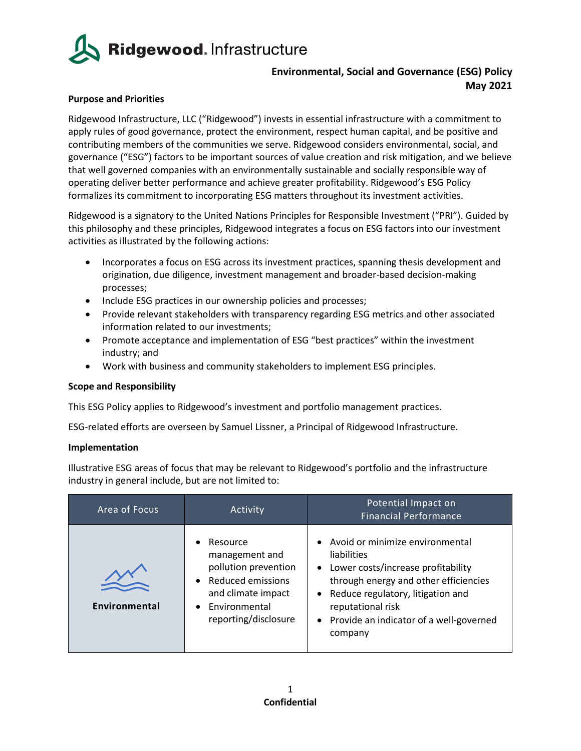

# **Environmental, Social and Governance (ESG) Policy May 2021**

## **Purpose and Priorities**

Ridgewood Infrastructure, LLC ("Ridgewood") invests in essential infrastructure with a commitment to apply rules of good governance, protect the environment, respect human capital, and be positive and contributing members of the communities we serve. Ridgewood considers environmental, social, and governance ("ESG") factors to be important sources of value creation and risk mitigation, and we believe that well governed companies with an environmentally sustainable and socially responsible way of operating deliver better performance and achieve greater profitability. Ridgewood's ESG Policy formalizes its commitment to incorporating ESG matters throughout its investment activities.

Ridgewood is a signatory to the United Nations Principles for Responsible Investment ("PRI"). Guided by this philosophy and these principles, Ridgewood integrates a focus on ESG factors into our investment activities as illustrated by the following actions:

- Incorporates a focus on ESG across its investment practices, spanning thesis development and origination, due diligence, investment management and broader-based decision-making processes;
- Include ESG practices in our ownership policies and processes;
- Provide relevant stakeholders with transparency regarding ESG metrics and other associated information related to our investments;
- Promote acceptance and implementation of ESG "best practices" within the investment industry; and
- Work with business and community stakeholders to implement ESG principles.

### **Scope and Responsibility**

This ESG Policy applies to Ridgewood's investment and portfolio management practices.

ESG-related efforts are overseen by Samuel Lissner, a Principal of Ridgewood Infrastructure.

### **Implementation**

Illustrative ESG areas of focus that may be relevant to Ridgewood's portfolio and the infrastructure industry in general include, but are not limited to:

| Area of Focus | Activity                                                                                                                                                   | Potential Impact on<br><b>Financial Performance</b>                                                                                                                                                                                                          |
|---------------|------------------------------------------------------------------------------------------------------------------------------------------------------------|--------------------------------------------------------------------------------------------------------------------------------------------------------------------------------------------------------------------------------------------------------------|
| Environmental | Resource<br>management and<br>pollution prevention<br><b>Reduced emissions</b><br>$\bullet$<br>and climate impact<br>Environmental<br>reporting/disclosure | Avoid or minimize environmental<br>liabilities<br>Lower costs/increase profitability<br>$\bullet$<br>through energy and other efficiencies<br>Reduce regulatory, litigation and<br>reputational risk<br>• Provide an indicator of a well-governed<br>company |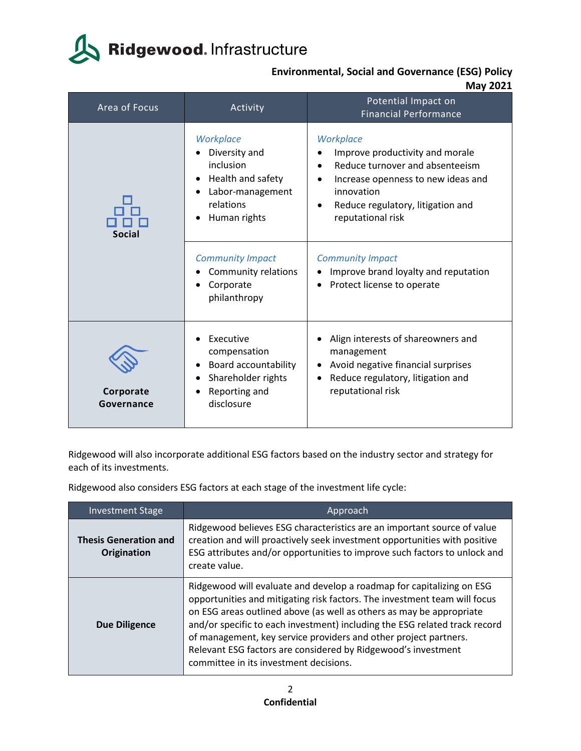# Ridgewood. Infrastructure

**Environmental, Social and Governance (ESG) Policy May 2021**

| Area of Focus           | Activity                                                                                                      | Potential Impact on<br><b>Financial Performance</b>                                                                                                                                                                     |
|-------------------------|---------------------------------------------------------------------------------------------------------------|-------------------------------------------------------------------------------------------------------------------------------------------------------------------------------------------------------------------------|
| <b>Social</b>           | Workplace<br>Diversity and<br>inclusion<br>Health and safety<br>Labor-management<br>relations<br>Human rights | Workplace<br>Improve productivity and morale<br>Reduce turnover and absenteeism<br>$\bullet$<br>Increase openness to new ideas and<br>innovation<br>Reduce regulatory, litigation and<br>$\bullet$<br>reputational risk |
|                         | <b>Community Impact</b><br>Community relations<br>Corporate<br>philanthropy                                   | <b>Community Impact</b><br>Improve brand loyalty and reputation<br>Protect license to operate                                                                                                                           |
| Corporate<br>Governance | Executive<br>compensation<br>Board accountability<br>Shareholder rights<br>Reporting and<br>disclosure        | Align interests of shareowners and<br>management<br>Avoid negative financial surprises<br>Reduce regulatory, litigation and<br>reputational risk                                                                        |

Ridgewood will also incorporate additional ESG factors based on the industry sector and strategy for each of its investments.

Ridgewood also considers ESG factors at each stage of the investment life cycle:

| <b>Investment Stage</b>                     | Approach                                                                                                                                                                                                                                                                                                                                                                                                                                                                                |
|---------------------------------------------|-----------------------------------------------------------------------------------------------------------------------------------------------------------------------------------------------------------------------------------------------------------------------------------------------------------------------------------------------------------------------------------------------------------------------------------------------------------------------------------------|
| <b>Thesis Generation and</b><br>Origination | Ridgewood believes ESG characteristics are an important source of value<br>creation and will proactively seek investment opportunities with positive<br>ESG attributes and/or opportunities to improve such factors to unlock and<br>create value.                                                                                                                                                                                                                                      |
| <b>Due Diligence</b>                        | Ridgewood will evaluate and develop a roadmap for capitalizing on ESG<br>opportunities and mitigating risk factors. The investment team will focus<br>on ESG areas outlined above (as well as others as may be appropriate<br>and/or specific to each investment) including the ESG related track record<br>of management, key service providers and other project partners.<br>Relevant ESG factors are considered by Ridgewood's investment<br>committee in its investment decisions. |